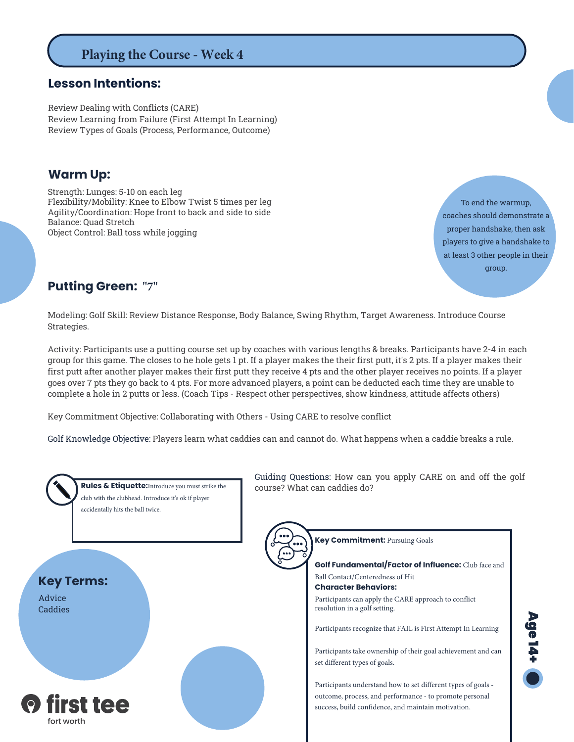# **Playing the Course - Week 4**

#### **Lesson Intentions:**

Review Dealing with Conflicts (CARE) Review Learning from Failure (First Attempt In Learning) Review Types of Goals (Process, Performance, Outcome)

#### **Warm Up:**

Strength: Lunges: 5-10 on each leg Flexibility/Mobility: Knee to Elbow Twist 5 times per leg Agility/Coordination: Hope front to back and side to side Balance: Quad Stretch Object Control: Ball toss while jogging

To end the warmup, coaches should demonstrate a proper handshake, then ask players to give a handshake to at least 3 other people in their group.

### **Putting Green: "7"**

Modeling: Golf Skill: Review Distance Response, Body Balance, Swing Rhythm, Target Awareness. Introduce Course Strategies.

Activity: Participants use a putting course set up by coaches with various lengths & breaks. Participants have 2-4 in each group for this game. The closes to he hole gets 1 pt. If a player makes the their first putt, it's 2 pts. If a player makes their first putt after another player makes their first putt they receive 4 pts and the other player receives no points. If a player goes over 7 pts they go back to 4 pts. For more advanced players, a point can be deducted each time they are unable to complete a hole in 2 putts or less. (Coach Tips - Respect other perspectives, show kindness, attitude affects others)

Key Commitment Objective: Collaborating with Others - Using CARE to resolve conflict

Golf Knowledge Objective: Players learn what caddies can and cannot do. What happens when a caddie breaks a rule.